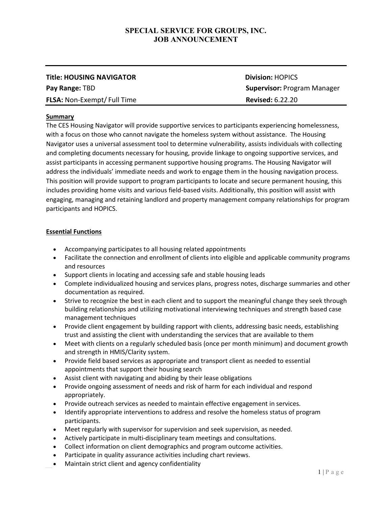| <b>Title: HOUSING NAVIGATOR</b>   | <b>Division: HOPICS</b>            |
|-----------------------------------|------------------------------------|
| Pay Range: TBD                    | <b>Supervisor: Program Manager</b> |
| <b>FLSA: Non-Exempt/Full Time</b> | <b>Revised: 6.22.20</b>            |

#### **Summary**

The CES Housing Navigator will provide supportive services to participants experiencing homelessness, with a focus on those who cannot navigate the homeless system without assistance. The Housing Navigator uses a universal assessment tool to determine vulnerability, assists individuals with collecting and completing documents necessary for housing, provide linkage to ongoing supportive services, and assist participants in accessing permanent supportive housing programs. The Housing Navigator will address the individuals' immediate needs and work to engage them in the housing navigation process. This position will provide support to program participants to locate and secure permanent housing, this includes providing home visits and various field-based visits. Additionally, this position will assist with engaging, managing and retaining landlord and property management company relationships for program participants and HOPICS.

#### **Essential Functions**

- Accompanying participates to all housing related appointments
- Facilitate the connection and enrollment of clients into eligible and applicable community programs and resources
- Support clients in locating and accessing safe and stable housing leads
- Complete individualized housing and services plans, progress notes, discharge summaries and other documentation as required.
- Strive to recognize the best in each client and to support the meaningful change they seek through building relationships and utilizing motivational interviewing techniques and strength based case management techniques
- Provide client engagement by building rapport with clients, addressing basic needs, establishing trust and assisting the client with understanding the services that are available to them
- Meet with clients on a regularly scheduled basis (once per month minimum) and document growth and strength in HMIS/Clarity system.
- Provide field based services as appropriate and transport client as needed to essential appointments that support their housing search
- Assist client with navigating and abiding by their lease obligations
- Provide ongoing assessment of needs and risk of harm for each individual and respond appropriately.
- Provide outreach services as needed to maintain effective engagement in services.
- Identify appropriate interventions to address and resolve the homeless status of program participants.
- Meet regularly with supervisor for supervision and seek supervision, as needed.
- Actively participate in multi-disciplinary team meetings and consultations.
- Collect information on client demographics and program outcome activities.
- Participate in quality assurance activities including chart reviews.
- Maintain strict client and agency confidentiality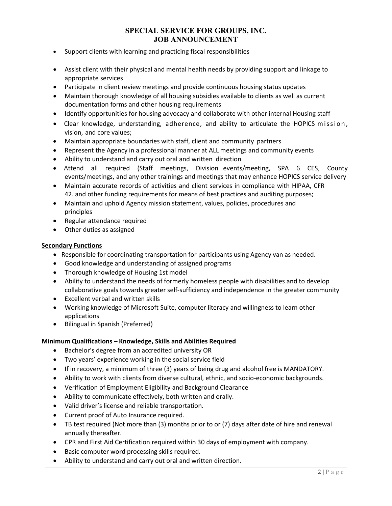- Support clients with learning and practicing fiscal responsibilities
- Assist client with their physical and mental health needs by providing support and linkage to appropriate services
- Participate in client review meetings and provide continuous housing status updates
- Maintain thorough knowledge of all housing subsidies available to clients as well as current documentation forms and other housing requirements
- Identify opportunities for housing advocacy and collaborate with other internal Housing staff
- Clear knowledge, understanding, adherence, and ability to articulate the HOPICS mission, vision, and core values;
- Maintain appropriate boundaries with staff, client and community partners
- Represent the Agency in a professional manner at ALL meetings and community events
- Ability to understand and carry out oral and written direction
- Attend all required (Staff meetings, Division events/meeting, SPA 6 CES, County events/meetings, and any other trainings and meetings that may enhance HOPICS service delivery
- Maintain accurate records of activities and client services in compliance with HIPAA, CFR 42. and other funding requirements for means of best practices and auditing purposes;
- Maintain and uphold Agency mission statement, values, policies, procedures and principles
- Regular attendance required
- Other duties as assigned

#### **Secondary Functions**

- Responsible for coordinating transportation for participants using Agency van as needed.
- Good knowledge and understanding of assigned programs
- Thorough knowledge of Housing 1st model
- Ability to understand the needs of formerly homeless people with disabilities and to develop collaborative goals towards greater self-sufficiency and independence in the greater community
- Excellent verbal and written skills
- Working knowledge of Microsoft Suite, computer literacy and willingness to learn other applications
- Bilingual in Spanish (Preferred)

## **Minimum Qualifications – Knowledge, Skills and Abilities Required**

- Bachelor's degree from an accredited university OR
- Two years' experience working in the social service field
- If in recovery, a minimum of three (3) years of being drug and alcohol free is MANDATORY.
- Ability to work with clients from diverse cultural, ethnic, and socio-economic backgrounds.
- Verification of Employment Eligibility and Background Clearance
- Ability to communicate effectively, both written and orally.
- Valid driver's license and reliable transportation.
- Current proof of Auto Insurance required.
- TB test required (Not more than (3) months prior to or (7) days after date of hire and renewal annually thereafter.
- CPR and First Aid Certification required within 30 days of employment with company.
- Basic computer word processing skills required.
- Ability to understand and carry out oral and written direction.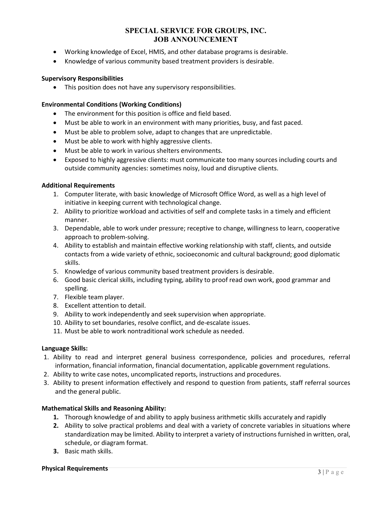- Working knowledge of Excel, HMIS, and other database programs is desirable.
- Knowledge of various community based treatment providers is desirable.

## **Supervisory Responsibilities**

• This position does not have any supervisory responsibilities.

## **Environmental Conditions (Working Conditions)**

- The environment for this position is office and field based.
- Must be able to work in an environment with many priorities, busy, and fast paced.
- Must be able to problem solve, adapt to changes that are unpredictable.
- Must be able to work with highly aggressive clients.
- Must be able to work in various shelters environments.
- Exposed to highly aggressive clients: must communicate too many sources including courts and outside community agencies: sometimes noisy, loud and disruptive clients.

## **Additional Requirements**

- 1. Computer literate, with basic knowledge of Microsoft Office Word, as well as a high level of initiative in keeping current with technological change.
- 2. Ability to prioritize workload and activities of self and complete tasks in a timely and efficient manner.
- 3. Dependable, able to work under pressure; receptive to change, willingness to learn, cooperative approach to problem-solving.
- 4. Ability to establish and maintain effective working relationship with staff, clients, and outside contacts from a wide variety of ethnic, socioeconomic and cultural background; good diplomatic skills.
- 5. Knowledge of various community based treatment providers is desirable.
- 6. Good basic clerical skills, including typing, ability to proof read own work, good grammar and spelling.
- 7. Flexible team player.
- 8. Excellent attention to detail.
- 9. Ability to work independently and seek supervision when appropriate.
- 10. Ability to set boundaries, resolve conflict, and de-escalate issues.
- 11. Must be able to work nontraditional work schedule as needed.

## **Language Skills:**

- 1. Ability to read and interpret general business correspondence, policies and procedures, referral information, financial information, financial documentation, applicable government regulations.
- 2. Ability to write case notes, uncomplicated reports, instructions and procedures.
- 3. Ability to present information effectively and respond to question from patients, staff referral sources and the general public.

## **Mathematical Skills and Reasoning Ability:**

- **1.** Thorough knowledge of and ability to apply business arithmetic skills accurately and rapidly
- **2.** Ability to solve practical problems and deal with a variety of concrete variables in situations where standardization may be limited. Ability to interpret a variety of instructions furnished in written, oral, schedule, or diagram format.
- **3.** Basic math skills.